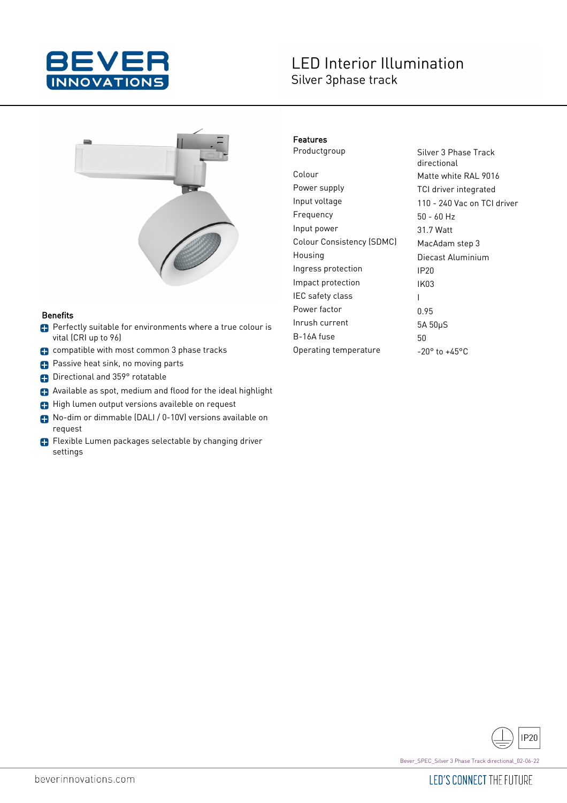

## **LED Interior Illumination** Silver 3phase track



#### **Benefits**

- **Perfectly suitable for environments where a true colour is** vital (CRI up to 96)
- compatible with most common 3 phase tracks
- **Passive heat sink, no moving parts**
- **Directional and 359° rotatable**
- Available as spot, medium and flood for the ideal highlight
- High lumen output versions availeble on request
- No-dim or dimmable (DALI / 0-10V) versions available on request
- Flexible Lumen packages selectable by changing driver settings

#### Features

Colour Matte white RAL 9016 Power supply TCI driver integrated Input voltage 110 - 240 Vac on TCI driver Frequency 50 - 60 Hz Input power 31.7 Watt Colour Consistency (SDMC) MacAdam step 3 Housing Diecast Aluminium Ingress protection IP20 Impact protection IK03 IEC safety class The I Power factor 0.95 Inrush current 5A 50µS  $B-16A$  fuse  $50$ Operating temperature  $-20^\circ$  to  $+45^\circ$ C

Productgroup Silver 3 Phase Track directional

**IP20** 

Bever\_SPEC\_Silver 3 Phase Track directional\_02-06-22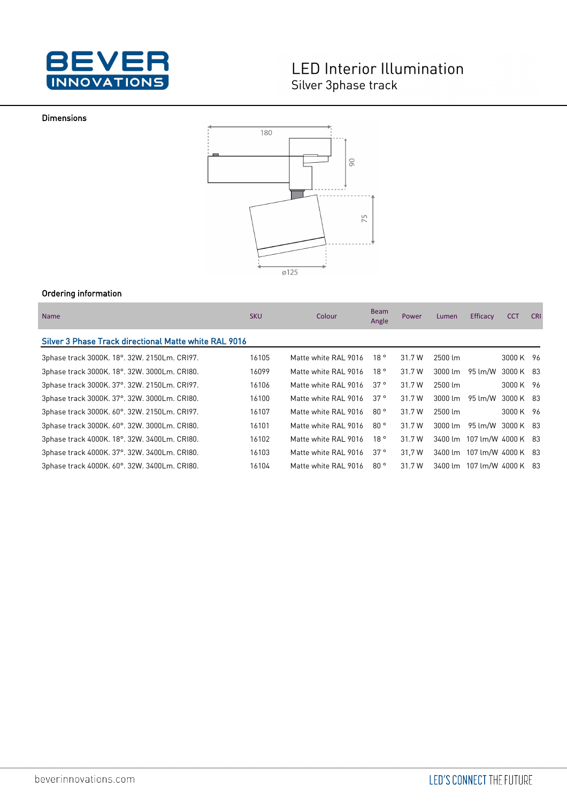

# **LED Interior Illumination** Silver 3phase track

#### Dimensions



### Ordering information

| <b>Name</b>                                           | <b>SKU</b> | Colour               | <b>Beam</b><br>Angle | <b>Power</b> | Lumen               | Efficacy                   | <b>CCT</b> | <b>CRI</b> |
|-------------------------------------------------------|------------|----------------------|----------------------|--------------|---------------------|----------------------------|------------|------------|
| Silver 3 Phase Track directional Matte white RAL 9016 |            |                      |                      |              |                     |                            |            |            |
| 3phase track 3000K. 18°. 32W. 2150Lm. CRI97.          | 16105      | Matte white RAL 9016 | 18°                  | 31.7 W       | 2500 lm             |                            | 3000 K 96  |            |
| 3phase track 3000K. 18°. 32W. 3000Lm. CRI80.          | 16099      | Matte white RAL 9016 | 18°                  | 31.7 W       | $3000 \, \text{Im}$ | 95 lm/W                    | 3000 K 83  |            |
| 3phase track 3000K. 37°. 32W. 2150Lm. CRI97.          | 16106      | Matte white RAL 9016 | 37°                  | 31.7 W       | 2500 lm             |                            | 3000 K 96  |            |
| 3phase track 3000K. 37°. 32W. 3000Lm. CRI80.          | 16100      | Matte white RAL 9016 | 37°                  | 31.7 W       | $3000 \, \text{Im}$ | 95 lm/W                    | 3000 K 83  |            |
| 3phase track 3000K. 60°. 32W. 2150Lm. CRI97.          | 16107      | Matte white RAL 9016 | 80°                  | 31.7 W       | 2500 lm             |                            | 3000 K 96  |            |
| 3phase track 3000K. 60°. 32W. 3000Lm. CRI80.          | 16101      | Matte white RAL 9016 | 80°                  | 31.7 W       | $3000 \, \text{Im}$ | 95 lm/W                    | 3000 K 83  |            |
| 3phase track 4000K. 18°. 32W. 3400Lm. CRI80.          | 16102      | Matte white RAL 9016 | 18°                  | 31.7 W       |                     | 3400 lm 107 lm/W 4000 K 83 |            |            |
| 3phase track 4000K. 37°. 32W. 3400Lm. CRI80.          | 16103      | Matte white RAL 9016 | 37°                  | 31.7 W       |                     | 3400 lm 107 lm/W 4000 K 83 |            |            |
| 3phase track 4000K. 60°. 32W. 3400Lm. CRI80.          | 16104      | Matte white RAL 9016 | 80°                  | 31.7 W       |                     | 3400 lm 107 lm/W 4000 K 83 |            |            |